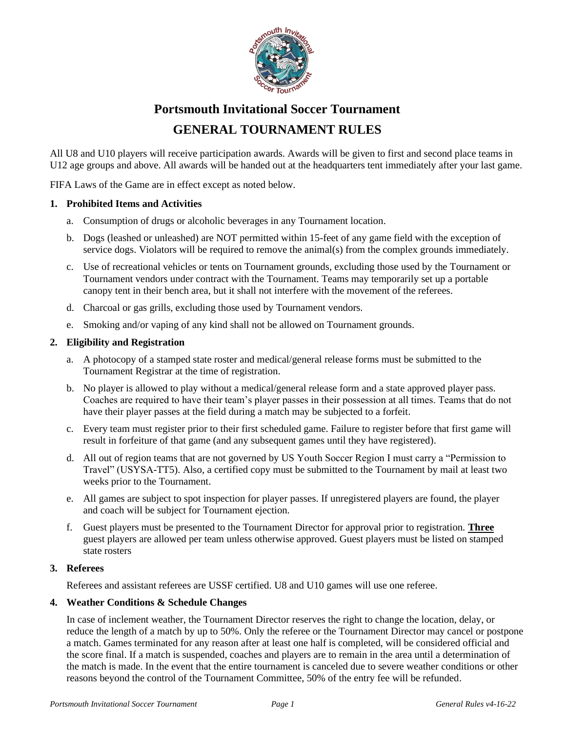

# **Portsmouth Invitational Soccer Tournament GENERAL TOURNAMENT RULES**

All U8 and U10 players will receive participation awards. Awards will be given to first and second place teams in U12 age groups and above. All awards will be handed out at the headquarters tent immediately after your last game.

FIFA Laws of the Game are in effect except as noted below.

# **1. Prohibited Items and Activities**

- a. Consumption of drugs or alcoholic beverages in any Tournament location.
- b. Dogs (leashed or unleashed) are NOT permitted within 15-feet of any game field with the exception of service dogs. Violators will be required to remove the animal(s) from the complex grounds immediately.
- c. Use of recreational vehicles or tents on Tournament grounds, excluding those used by the Tournament or Tournament vendors under contract with the Tournament. Teams may temporarily set up a portable canopy tent in their bench area, but it shall not interfere with the movement of the referees.
- d. Charcoal or gas grills, excluding those used by Tournament vendors.
- e. Smoking and/or vaping of any kind shall not be allowed on Tournament grounds.

# **2. Eligibility and Registration**

- a. A photocopy of a stamped state roster and medical/general release forms must be submitted to the Tournament Registrar at the time of registration.
- b. No player is allowed to play without a medical/general release form and a state approved player pass. Coaches are required to have their team's player passes in their possession at all times. Teams that do not have their player passes at the field during a match may be subjected to a forfeit.
- c. Every team must register prior to their first scheduled game. Failure to register before that first game will result in forfeiture of that game (and any subsequent games until they have registered).
- d. All out of region teams that are not governed by US Youth Soccer Region I must carry a "Permission to Travel" (USYSA-TT5). Also, a certified copy must be submitted to the Tournament by mail at least two weeks prior to the Tournament.
- e. All games are subject to spot inspection for player passes. If unregistered players are found, the player and coach will be subject for Tournament ejection.
- f. Guest players must be presented to the Tournament Director for approval prior to registration. **Three** guest players are allowed per team unless otherwise approved. Guest players must be listed on stamped state rosters

#### **3. Referees**

Referees and assistant referees are USSF certified. U8 and U10 games will use one referee.

#### **4. Weather Conditions & Schedule Changes**

In case of inclement weather, the Tournament Director reserves the right to change the location, delay, or reduce the length of a match by up to 50%. Only the referee or the Tournament Director may cancel or postpone a match. Games terminated for any reason after at least one half is completed, will be considered official and the score final. If a match is suspended, coaches and players are to remain in the area until a determination of the match is made. In the event that the entire tournament is canceled due to severe weather conditions or other reasons beyond the control of the Tournament Committee, 50% of the entry fee will be refunded.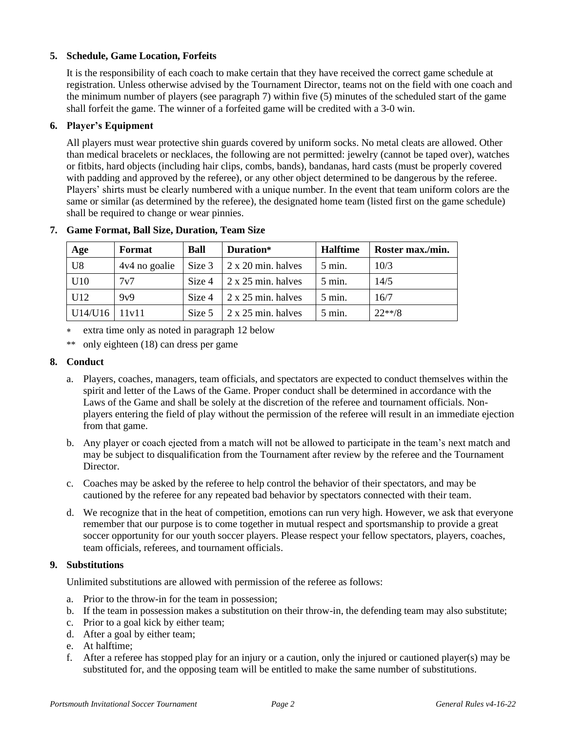# **5. Schedule, Game Location, Forfeits**

It is the responsibility of each coach to make certain that they have received the correct game schedule at registration. Unless otherwise advised by the Tournament Director, teams not on the field with one coach and the minimum number of players (see paragraph 7) within five (5) minutes of the scheduled start of the game shall forfeit the game. The winner of a forfeited game will be credited with a 3-0 win.

# **6. Player's Equipment**

All players must wear protective shin guards covered by uniform socks. No metal cleats are allowed. Other than medical bracelets or necklaces, the following are not permitted: jewelry (cannot be taped over), watches or fitbits, hard objects (including hair clips, combs, bands), bandanas, hard casts (must be properly covered with padding and approved by the referee), or any other object determined to be dangerous by the referee. Players' shirts must be clearly numbered with a unique number. In the event that team uniform colors are the same or similar (as determined by the referee), the designated home team (listed first on the game schedule) shall be required to change or wear pinnies.

| Age            | Format        | <b>Ball</b> | Duration*                                 | <b>Halftime</b>   | Roster max./min. |
|----------------|---------------|-------------|-------------------------------------------|-------------------|------------------|
| U <sub>8</sub> | 4v4 no goalie |             | $\vert$ Size 3 $\vert$ 2 x 20 min. halves | $5 \text{ min.}$  | 10/3             |
| U10            | 7v7           | Size 4      | $\frac{1}{2}$ x 25 min. halves            | $5 \text{ min.}$  | 14/5             |
| U12            | 9v9           | Size 4      | $\frac{1}{2}$ x 25 min. halves            | $5 \text{ min}$ . | 16/7             |
| U14/U16        | 11v11         | Size 5      | $\frac{1}{2}$ x 25 min. halves            | $5 \text{ min.}$  | $22**/8$         |

#### **7. Game Format, Ball Size, Duration, Team Size**

extra time only as noted in paragraph 12 below

\*\* only eighteen (18) can dress per game

#### **8. Conduct**

- a. Players, coaches, managers, team officials, and spectators are expected to conduct themselves within the spirit and letter of the Laws of the Game. Proper conduct shall be determined in accordance with the Laws of the Game and shall be solely at the discretion of the referee and tournament officials. Nonplayers entering the field of play without the permission of the referee will result in an immediate ejection from that game.
- b. Any player or coach ejected from a match will not be allowed to participate in the team's next match and may be subject to disqualification from the Tournament after review by the referee and the Tournament Director.
- c. Coaches may be asked by the referee to help control the behavior of their spectators, and may be cautioned by the referee for any repeated bad behavior by spectators connected with their team.
- d. We recognize that in the heat of competition, emotions can run very high. However, we ask that everyone remember that our purpose is to come together in mutual respect and sportsmanship to provide a great soccer opportunity for our youth soccer players. Please respect your fellow spectators, players, coaches, team officials, referees, and tournament officials.

#### **9. Substitutions**

Unlimited substitutions are allowed with permission of the referee as follows:

- a. Prior to the throw-in for the team in possession;
- b. If the team in possession makes a substitution on their throw-in, the defending team may also substitute;
- c. Prior to a goal kick by either team;
- d. After a goal by either team;
- e. At halftime;
- f. After a referee has stopped play for an injury or a caution, only the injured or cautioned player(s) may be substituted for, and the opposing team will be entitled to make the same number of substitutions.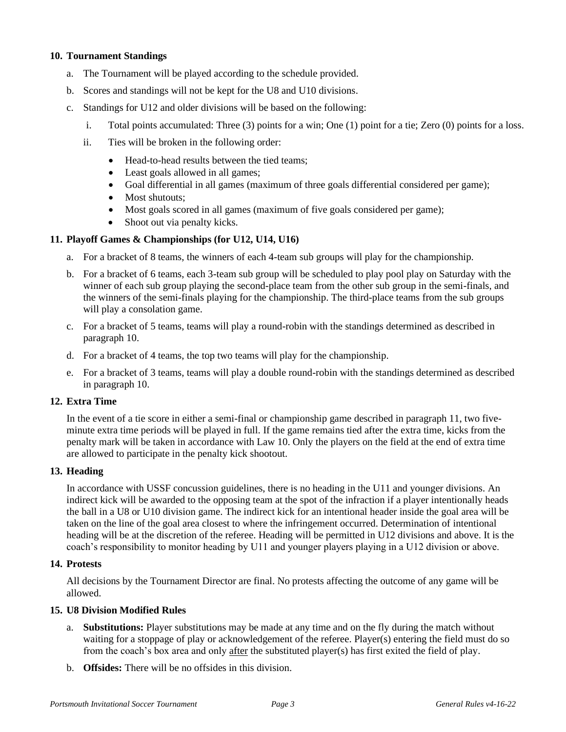# **10. Tournament Standings**

- a. The Tournament will be played according to the schedule provided.
- b. Scores and standings will not be kept for the U8 and U10 divisions.
- c. Standings for U12 and older divisions will be based on the following:
	- i. Total points accumulated: Three (3) points for a win; One (1) point for a tie; Zero (0) points for a loss.
	- ii. Ties will be broken in the following order:
		- Head-to-head results between the tied teams;
		- Least goals allowed in all games;
		- Goal differential in all games (maximum of three goals differential considered per game);
		- Most shutouts:
		- Most goals scored in all games (maximum of five goals considered per game);
		- Shoot out via penalty kicks.

# **11. Playoff Games & Championships (for U12, U14, U16)**

- a. For a bracket of 8 teams, the winners of each 4-team sub groups will play for the championship.
- b. For a bracket of 6 teams, each 3-team sub group will be scheduled to play pool play on Saturday with the winner of each sub group playing the second-place team from the other sub group in the semi-finals, and the winners of the semi-finals playing for the championship. The third-place teams from the sub groups will play a consolation game.
- c. For a bracket of 5 teams, teams will play a round-robin with the standings determined as described in paragraph 10.
- d. For a bracket of 4 teams, the top two teams will play for the championship.
- e. For a bracket of 3 teams, teams will play a double round-robin with the standings determined as described in paragraph 10.

# **12. Extra Time**

In the event of a tie score in either a semi-final or championship game described in paragraph 11, two fiveminute extra time periods will be played in full. If the game remains tied after the extra time, kicks from the penalty mark will be taken in accordance with Law 10. Only the players on the field at the end of extra time are allowed to participate in the penalty kick shootout.

#### **13. Heading**

In accordance with USSF concussion guidelines, there is no heading in the U11 and younger divisions. An indirect kick will be awarded to the opposing team at the spot of the infraction if a player intentionally heads the ball in a U8 or U10 division game. The indirect kick for an intentional header inside the goal area will be taken on the line of the goal area closest to where the infringement occurred. Determination of intentional heading will be at the discretion of the referee. Heading will be permitted in U12 divisions and above. It is the coach's responsibility to monitor heading by U11 and younger players playing in a U12 division or above.

#### **14. Protests**

All decisions by the Tournament Director are final. No protests affecting the outcome of any game will be allowed.

#### **15. U8 Division Modified Rules**

- a. **Substitutions:** Player substitutions may be made at any time and on the fly during the match without waiting for a stoppage of play or acknowledgement of the referee. Player(s) entering the field must do so from the coach's box area and only after the substituted player(s) has first exited the field of play.
- b. **Offsides:** There will be no offsides in this division.